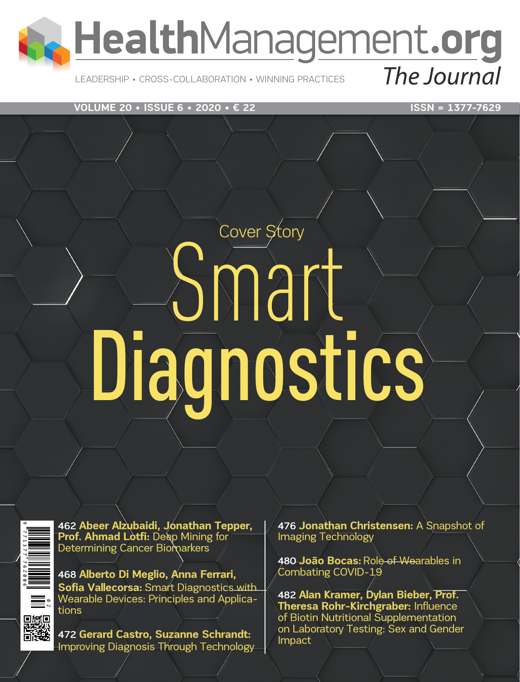

LEADERSHIP • CROSS-COLLABORATION • WINNING PRACTICES

**VOLUME 20 • ISSUE 6 • 2020 • € 22** ISSN = 1377-7629

# Cover Story Smart Diagnostics

462 **Abeer Alzubaidi, Jonathan Tepper, Prof. Ahmad Lotfi: Deep Mining for** Determining Cancer Biomarkers

468 **[Alberto Di Meglio](https://healthmanagement.org/viewProfile/118590/Alberto_Di Meglio), Anna Ferrari, Sofia Vallecorsa: Smart Diagnostics with** Wearable Devices: Principles and Applica-<br>tions

472 **Gerard Castro, Suzanne Schrandt:**  Improving Diagnosis Through Technology 476 **[Jonathan Christensen:](https://healthmanagement.org/viewProfile/118581/Jonathan_Christensen)** A Snapshot of Imaging Technology

480 **João Bocas: Role of Wearables in** Combating COVID-19

482 **Alan Kramer, Dylan Bieber, Prof. Theresa Rohr-Kirchgraber:** Influence of Biotin Nutritional Supplementation on Laboratory Testing: Sex and Gender Impact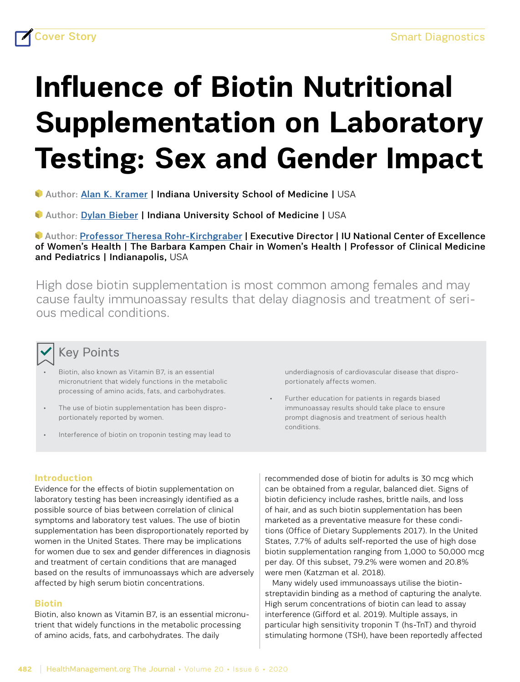## **Influence of Biotin Nutritional Supplementation on Laboratory Testing: Sex and Gender Impact**

Author: [Alan K. Kramer](https://healthmanagement.org/viewProfile/118582/Alan_Kramer) | Indiana University School of Medicine | USA

Author: [Dylan Bieber](https://healthmanagement.org/viewProfile/118583/Dylan_Bieber) | Indiana University School of Medicine | USA

 Author: Professor [Theresa Rohr-Kirchgraber](https://healthmanagement.org/viewProfile/109867/Theresa_Rohr-Kirchgraber) | Executive Director | IU National Center of Excellence of Women's Health | The Barbara Kampen Chair in Women's Health | Professor of Clinical Medicine and Pediatrics | Indianapolis, USA

High dose biotin supplementation is most common among females and may cause faulty immunoassay results that delay diagnosis and treatment of serious medical conditions.

### Key Points

- Biotin, also known as Vitamin B7, is an essential micronutrient that widely functions in the metabolic processing of amino acids, fats, and carbohydrates.
- The use of biotin supplementation has been disproportionately reported by women.
- Interference of biotin on troponin testing may lead to

underdiagnosis of cardiovascular disease that disproportionately affects women.

Further education for patients in regards biased immunoassay results should take place to ensure prompt diagnosis and treatment of serious health conditions.

#### **Introduction**

Evidence for the effects of biotin supplementation on laboratory testing has been increasingly identified as a possible source of bias between correlation of clinical symptoms and laboratory test values. The use of biotin supplementation has been disproportionately reported by women in the United States. There may be implications for women due to sex and gender differences in diagnosis and treatment of certain conditions that are managed based on the results of immunoassays which are adversely affected by high serum biotin concentrations.

#### **Biotin**

Biotin, also known as Vitamin B7, is an essential micronutrient that widely functions in the metabolic processing of amino acids, fats, and carbohydrates. The daily

recommended dose of biotin for adults is 30 mcg which can be obtained from a regular, balanced diet. Signs of biotin deficiency include rashes, brittle nails, and loss of hair, and as such biotin supplementation has been marketed as a preventative measure for these conditions (Office of Dietary Supplements 2017). In the United States, 7.7% of adults self-reported the use of high dose biotin supplementation ranging from 1,000 to 50,000 mcg per day. Of this subset, 79.2% were women and 20.8% were men (Katzman et al. 2018).

Many widely used immunoassays utilise the biotinstreptavidin binding as a method of capturing the analyte. High serum concentrations of biotin can lead to assay interference (Gifford et al. 2019). Multiple assays, in particular high sensitivity troponin T (hs-TnT) and thyroid stimulating hormone (TSH), have been reportedly affected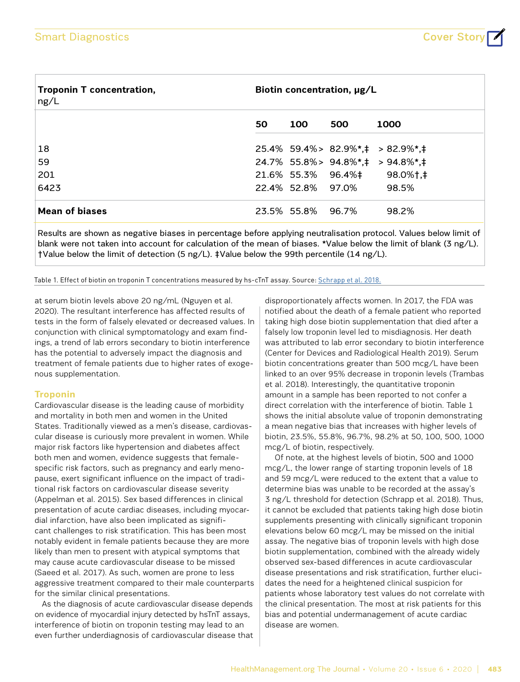| <b>Troponin T concentration,</b><br>ng/L | Biotin concentration, µg/L |                   |                   |                                                          |
|------------------------------------------|----------------------------|-------------------|-------------------|----------------------------------------------------------|
|                                          | 50                         | <b>100</b>        | 500               | 1000                                                     |
| 18                                       |                            |                   |                   | $25.4\%$ 59.4% > 82.9%*, $\ddagger$ > 82.9%*, $\ddagger$ |
| 59                                       |                            |                   |                   | 24.7% 55.8%> 94.8%*, ‡ > 94.8%*, ‡                       |
| 201                                      |                            |                   |                   | 21.6% 55.3% 96.4%# 98.0%+,#                              |
| 6423                                     |                            |                   | 22.4% 52.8% 97.0% | 98.5%                                                    |
| <b>Mean of biases</b>                    |                            | 23.5% 55.8% 96.7% |                   | 98.2%                                                    |
|                                          |                            |                   |                   |                                                          |

Results are shown as negative biases in percentage before applying neutralisation protocol. Values below limit of blank were not taken into account for calculation of the mean of biases. \*Value below the limit of blank (3 ng/L). †Value below the limit of detection (5 ng/L). ‡Value below the 99th percentile (14 ng/L).

Table 1. Effect of biotin on troponin T concentrations measured by hs-cTnT assay. Source: [Schrapp et al. 2018.](https://dx.doi.org/10.11613%2FBM.2018.030901)

at serum biotin levels above 20 ng/mL (Nguyen et al. 2020). The resultant interference has affected results of tests in the form of falsely elevated or decreased values. In conjunction with clinical symptomatology and exam findings, a trend of lab errors secondary to biotin interference has the potential to adversely impact the diagnosis and treatment of female patients due to higher rates of exogenous supplementation.

#### **Troponin**

Cardiovascular disease is the leading cause of morbidity and mortality in both men and women in the United States. Traditionally viewed as a men's disease, cardiovascular disease is curiously more prevalent in women. While major risk factors like hypertension and diabetes affect both men and women, evidence suggests that femalespecific risk factors, such as pregnancy and early menopause, exert significant influence on the impact of traditional risk factors on cardiovascular disease severity (Appelman et al. 2015). Sex based differences in clinical presentation of acute cardiac diseases, including myocardial infarction, have also been implicated as significant challenges to risk stratification. This has been most notably evident in female patients because they are more likely than men to present with atypical symptoms that may cause acute cardiovascular disease to be missed (Saeed et al. 2017). As such, women are prone to less aggressive treatment compared to their male counterparts for the similar clinical presentations.

As the diagnosis of acute cardiovascular disease depends on evidence of myocardial injury detected by hsTnT assays, interference of biotin on troponin testing may lead to an even further underdiagnosis of cardiovascular disease that

disproportionately affects women. In 2017, the FDA was notified about the death of a female patient who reported taking high dose biotin supplementation that died after a falsely low troponin level led to misdiagnosis. Her death was attributed to lab error secondary to biotin interference (Center for Devices and Radiological Health 2019). Serum biotin concentrations greater than 500 mcg/L have been linked to an over 95% decrease in troponin levels (Trambas et al. 2018). Interestingly, the quantitative troponin amount in a sample has been reported to not confer a direct correlation with the interference of biotin. Table 1 shows the initial absolute value of troponin demonstrating a mean negative bias that increases with higher levels of biotin, 23.5%, 55.8%, 96.7%, 98.2% at 50, 100, 500, 1000 mcg/L of biotin, respectively.

 Of note, at the highest levels of biotin, 500 and 1000 mcg/L, the lower range of starting troponin levels of 18 and 59 mcg/L were reduced to the extent that a value to determine bias was unable to be recorded at the assay's 3 ng/L threshold for detection (Schrapp et al. 2018). Thus, it cannot be excluded that patients taking high dose biotin supplements presenting with clinically significant troponin elevations below 60 mcg/L may be missed on the initial assay. The negative bias of troponin levels with high dose biotin supplementation, combined with the already widely observed sex-based differences in acute cardiovascular disease presentations and risk stratification, further elucidates the need for a heightened clinical suspicion for patients whose laboratory test values do not correlate with the clinical presentation. The most at risk patients for this bias and potential undermanagement of acute cardiac disease are women.